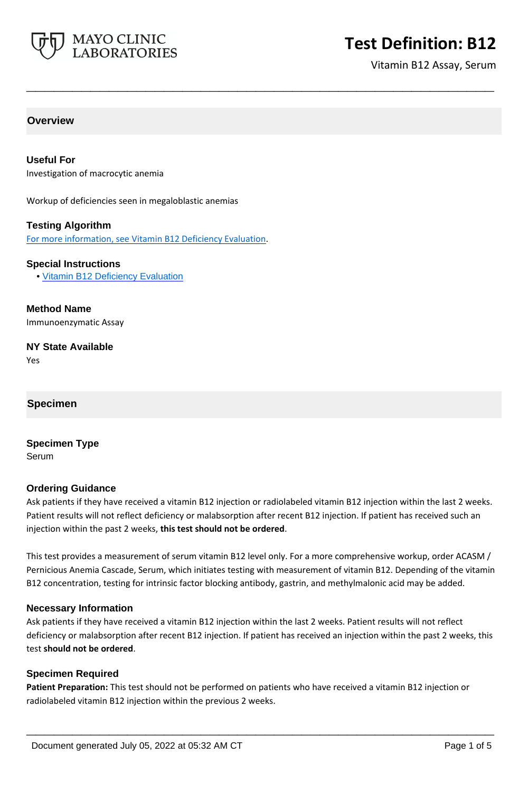

# **Test Definition: B12**

Vitamin B12 Assay, Serum

## **Overview**

### **Useful For**

Investigation of macrocytic anemia

Workup of deficiencies seen in megaloblastic anemias

### **Testing Algorithm**

For more information, see [Vitamin B12 Deficiency Evaluation](https://www.mayocliniclabs.com/it-mmfiles/Vitamin_B12_Deficiency_Evaluation.pdf).

#### **Special Instructions**

• [Vitamin B12 Deficiency Evaluation](http://www.mayocliniclabs.com/it-mmfiles/Vitamin_B12_Deficiency_Evaluation.pdf)

**Method Name** Immunoenzymatic Assay

**NY State Available**

Yes

### **Specimen**

**Specimen Type** Serum

### **Ordering Guidance**

Ask patients if they have received a vitamin B12 injection or radiolabeled vitamin B12 injection within the last 2 weeks. Patient results will not reflect deficiency or malabsorption after recent B12 injection. If patient has received such an injection within the past 2 weeks, **this test should not be ordered**.

**\_\_\_\_\_\_\_\_\_\_\_\_\_\_\_\_\_\_\_\_\_\_\_\_\_\_\_\_\_\_\_\_\_\_\_\_\_\_\_\_\_\_\_\_\_\_\_\_\_\_\_**

This test provides a measurement of serum vitamin B12 level only. For a more comprehensive workup, order ACASM / Pernicious Anemia Cascade, Serum, which initiates testing with measurement of vitamin B12. Depending of the vitamin B12 concentration, testing for intrinsic factor blocking antibody, gastrin, and methylmalonic acid may be added.

### **Necessary Information**

Ask patients if they have received a vitamin B12 injection within the last 2 weeks. Patient results will not reflect deficiency or malabsorption after recent B12 injection. If patient has received an injection within the past 2 weeks, this test **should not be ordered**.

### **Specimen Required**

**Patient Preparation:** This test should not be performed on patients who have received a vitamin B12 injection or radiolabeled vitamin B12 injection within the previous 2 weeks.

**\_\_\_\_\_\_\_\_\_\_\_\_\_\_\_\_\_\_\_\_\_\_\_\_\_\_\_\_\_\_\_\_\_\_\_\_\_\_\_\_\_\_\_\_\_\_\_\_\_\_\_**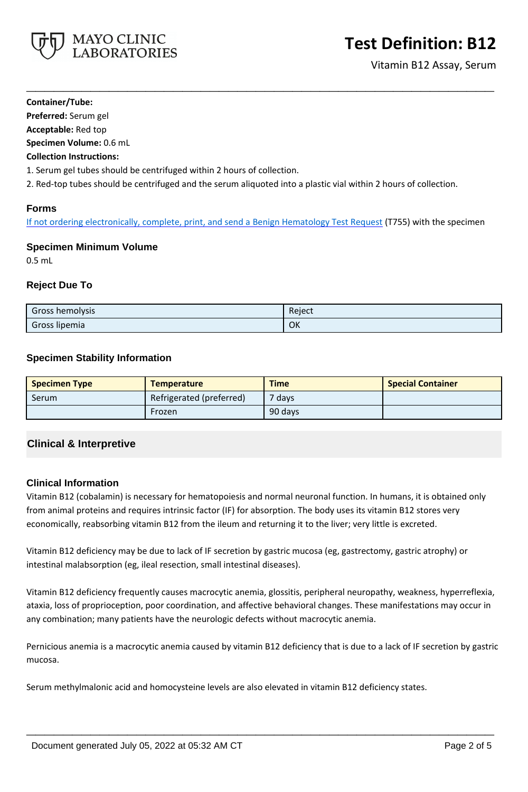

### **Container/Tube:**

**Preferred:** Serum gel

**Acceptable:** Red top

**Specimen Volume:** 0.6 mL

## **Collection Instructions:**

1. Serum gel tubes should be centrifuged within 2 hours of collection.

2. Red-top tubes should be centrifuged and the serum aliquoted into a plastic vial within 2 hours of collection.

# **Forms**

If not ordering electronically, complete, print, and send a [Benign Hematology Test Request](https://www.mayocliniclabs.com/it-mmfiles/benign-hematology-test-request-form.pdf) (T755) with the specimen

**\_\_\_\_\_\_\_\_\_\_\_\_\_\_\_\_\_\_\_\_\_\_\_\_\_\_\_\_\_\_\_\_\_\_\_\_\_\_\_\_\_\_\_\_\_\_\_\_\_\_\_**

# **Specimen Minimum Volume**

0.5 mL

# **Reject Due To**

| <b>Gross hemolysis</b> | Reject |
|------------------------|--------|
| Gross lipemia          | OK     |

## **Specimen Stability Information**

| <b>Specimen Type</b> | <b>Temperature</b>       | <b>Time</b>       | <b>Special Container</b> |
|----------------------|--------------------------|-------------------|--------------------------|
| Serum                | Refrigerated (preferred) | <sup>7</sup> days |                          |
|                      | Frozen                   | 90 days           |                          |

# **Clinical & Interpretive**

# **Clinical Information**

Vitamin B12 (cobalamin) is necessary for hematopoiesis and normal neuronal function. In humans, it is obtained only from animal proteins and requires intrinsic factor (IF) for absorption. The body uses its vitamin B12 stores very economically, reabsorbing vitamin B12 from the ileum and returning it to the liver; very little is excreted.

Vitamin B12 deficiency may be due to lack of IF secretion by gastric mucosa (eg, gastrectomy, gastric atrophy) or intestinal malabsorption (eg, ileal resection, small intestinal diseases).

Vitamin B12 deficiency frequently causes macrocytic anemia, glossitis, peripheral neuropathy, weakness, hyperreflexia, ataxia, loss of proprioception, poor coordination, and affective behavioral changes. These manifestations may occur in any combination; many patients have the neurologic defects without macrocytic anemia.

Pernicious anemia is a macrocytic anemia caused by vitamin B12 deficiency that is due to a lack of IF secretion by gastric mucosa.

**\_\_\_\_\_\_\_\_\_\_\_\_\_\_\_\_\_\_\_\_\_\_\_\_\_\_\_\_\_\_\_\_\_\_\_\_\_\_\_\_\_\_\_\_\_\_\_\_\_\_\_**

Serum methylmalonic acid and homocysteine levels are also elevated in vitamin B12 deficiency states.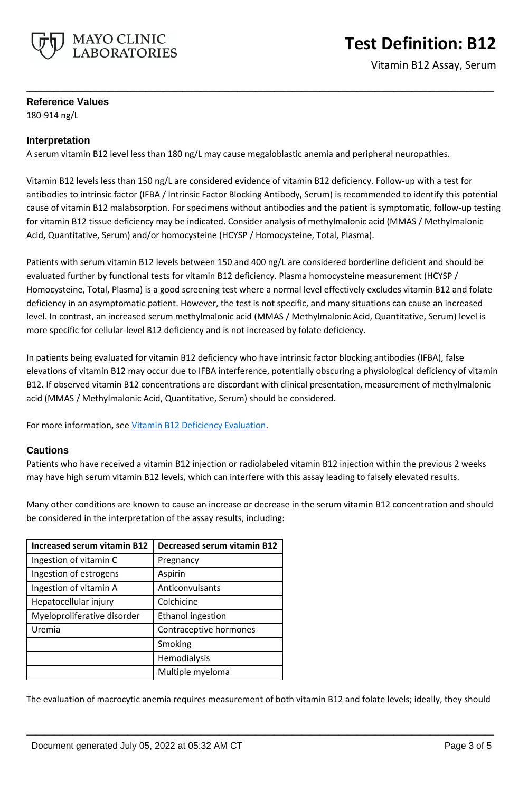

# **Test Definition: B12**

Vitamin B12 Assay, Serum

## **Reference Values**

180-914 ng/L

## **Interpretation**

A serum vitamin B12 level less than 180 ng/L may cause megaloblastic anemia and peripheral neuropathies.

Vitamin B12 levels less than 150 ng/L are considered evidence of vitamin B12 deficiency. Follow-up with a test for antibodies to intrinsic factor (IFBA / Intrinsic Factor Blocking Antibody, Serum) is recommended to identify this potential cause of vitamin B12 malabsorption. For specimens without antibodies and the patient is symptomatic, follow-up testing for vitamin B12 tissue deficiency may be indicated. Consider analysis of methylmalonic acid (MMAS / Methylmalonic Acid, Quantitative, Serum) and/or homocysteine (HCYSP / Homocysteine, Total, Plasma).

**\_\_\_\_\_\_\_\_\_\_\_\_\_\_\_\_\_\_\_\_\_\_\_\_\_\_\_\_\_\_\_\_\_\_\_\_\_\_\_\_\_\_\_\_\_\_\_\_\_\_\_**

Patients with serum vitamin B12 levels between 150 and 400 ng/L are considered borderline deficient and should be evaluated further by functional tests for vitamin B12 deficiency. Plasma homocysteine measurement (HCYSP / Homocysteine, Total, Plasma) is a good screening test where a normal level effectively excludes vitamin B12 and folate deficiency in an asymptomatic patient. However, the test is not specific, and many situations can cause an increased level. In contrast, an increased serum methylmalonic acid (MMAS / Methylmalonic Acid, Quantitative, Serum) level is more specific for cellular-level B12 deficiency and is not increased by folate deficiency.

In patients being evaluated for vitamin B12 deficiency who have intrinsic factor blocking antibodies (IFBA), false elevations of vitamin B12 may occur due to IFBA interference, potentially obscuring a physiological deficiency of vitamin B12. If observed vitamin B12 concentrations are discordant with clinical presentation, measurement of methylmalonic acid (MMAS / Methylmalonic Acid, Quantitative, Serum) should be considered.

For more information, see [Vitamin B12 Deficiency Evaluation](https://www.mayocliniclabs.com/it-mmfiles/Vitamin_B12_Deficiency_Evaluation.pdf).

## **Cautions**

Patients who have received a vitamin B12 injection or radiolabeled vitamin B12 injection within the previous 2 weeks may have high serum vitamin B12 levels, which can interfere with this assay leading to falsely elevated results.

Many other conditions are known to cause an increase or decrease in the serum vitamin B12 concentration and should be considered in the interpretation of the assay results, including:

| <b>Increased serum vitamin B12</b> | <b>Decreased serum vitamin B12</b> |  |
|------------------------------------|------------------------------------|--|
| Ingestion of vitamin C             | Pregnancy                          |  |
| Ingestion of estrogens             | Aspirin                            |  |
| Ingestion of vitamin A             | Anticonvulsants                    |  |
| Hepatocellular injury              | Colchicine                         |  |
| Myeloproliferative disorder        | <b>Ethanol ingestion</b>           |  |
| Uremia                             | Contraceptive hormones             |  |
|                                    | Smoking                            |  |
|                                    | Hemodialysis                       |  |
|                                    | Multiple myeloma                   |  |

The evaluation of macrocytic anemia requires measurement of both vitamin B12 and folate levels; ideally, they should

**\_\_\_\_\_\_\_\_\_\_\_\_\_\_\_\_\_\_\_\_\_\_\_\_\_\_\_\_\_\_\_\_\_\_\_\_\_\_\_\_\_\_\_\_\_\_\_\_\_\_\_**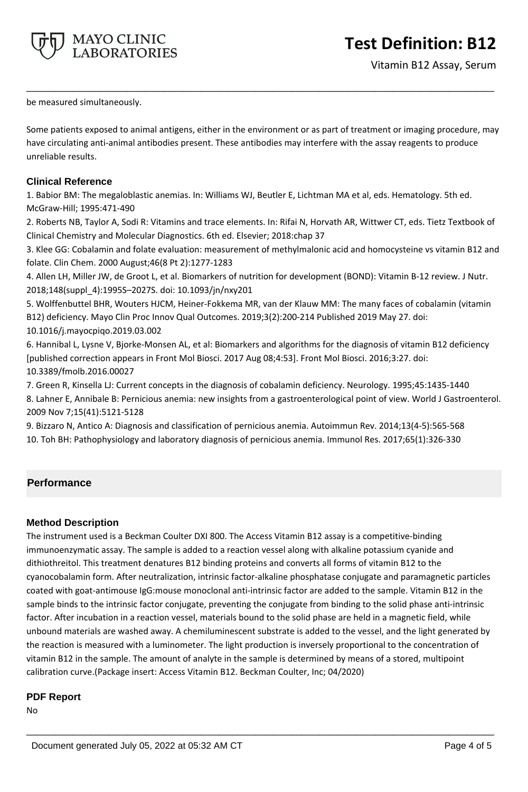

# **Test Definition: B12**

be measured simultaneously.

Some patients exposed to animal antigens, either in the environment or as part of treatment or imaging procedure, may have circulating anti-animal antibodies present. These antibodies may interfere with the assay reagents to produce unreliable results.

**\_\_\_\_\_\_\_\_\_\_\_\_\_\_\_\_\_\_\_\_\_\_\_\_\_\_\_\_\_\_\_\_\_\_\_\_\_\_\_\_\_\_\_\_\_\_\_\_\_\_\_**

## **Clinical Reference**

1. Babior BM: The megaloblastic anemias. In: Williams WJ, Beutler E, Lichtman MA et al, eds. Hematology. 5th ed. McGraw-Hill; 1995:471-490

2. Roberts NB, Taylor A, Sodi R: Vitamins and trace elements. In: Rifai N, Horvath AR, Wittwer CT, eds. Tietz Textbook of Clinical Chemistry and Molecular Diagnostics. 6th ed. Elsevier; 2018:chap 37

3. Klee GG: Cobalamin and folate evaluation: measurement of methylmalonic acid and homocysteine vs vitamin B12 and folate. Clin Chem. 2000 August;46(8 Pt 2):1277-1283

4. Allen LH, Miller JW, de Groot L, et al. Biomarkers of nutrition for development (BOND): Vitamin B-12 review. J Nutr. 2018;148(suppl\_4):1995S–2027S. doi: 10.1093/jn/nxy201

5. Wolffenbuttel BHR, Wouters HJCM, Heiner-Fokkema MR, van der Klauw MM: The many faces of cobalamin (vitamin B12) deficiency. Mayo Clin Proc Innov Qual Outcomes. 2019;3(2):200-214 Published 2019 May 27. doi: 10.1016/j.mayocpiqo.2019.03.002

6. Hannibal L, Lysne V, Bjorke-Monsen AL, et al: Biomarkers and algorithms for the diagnosis of vitamin B12 deficiency [published correction appears in Front Mol Biosci. 2017 Aug 08;4:53]. Front Mol Biosci. 2016;3:27. doi: 10.3389/fmolb.2016.00027

7. Green R, Kinsella LJ: Current concepts in the diagnosis of cobalamin deficiency. Neurology. 1995;45:1435-1440 8. Lahner E, Annibale B: Pernicious anemia: new insights from a gastroenterological point of view. World J Gastroenterol. 2009 Nov 7;15(41):5121-5128

9. Bizzaro N, Antico A: Diagnosis and classification of pernicious anemia. Autoimmun Rev. 2014;13(4-5):565-568 10. Toh BH: Pathophysiology and laboratory diagnosis of pernicious anemia. Immunol Res. 2017;65(1):326-330

# **Performance**

# **Method Description**

The instrument used is a Beckman Coulter DXI 800. The Access Vitamin B12 assay is a competitive-binding immunoenzymatic assay. The sample is added to a reaction vessel along with alkaline potassium cyanide and dithiothreitol. This treatment denatures B12 binding proteins and converts all forms of vitamin B12 to the cyanocobalamin form. After neutralization, intrinsic factor-alkaline phosphatase conjugate and paramagnetic particles coated with goat-antimouse IgG:mouse monoclonal anti-intrinsic factor are added to the sample. Vitamin B12 in the sample binds to the intrinsic factor conjugate, preventing the conjugate from binding to the solid phase anti-intrinsic factor. After incubation in a reaction vessel, materials bound to the solid phase are held in a magnetic field, while unbound materials are washed away. A chemiluminescent substrate is added to the vessel, and the light generated by the reaction is measured with a luminometer. The light production is inversely proportional to the concentration of vitamin B12 in the sample. The amount of analyte in the sample is determined by means of a stored, multipoint calibration curve.(Package insert: Access Vitamin B12. Beckman Coulter, Inc; 04/2020)

**\_\_\_\_\_\_\_\_\_\_\_\_\_\_\_\_\_\_\_\_\_\_\_\_\_\_\_\_\_\_\_\_\_\_\_\_\_\_\_\_\_\_\_\_\_\_\_\_\_\_\_**

## **PDF Report**

No